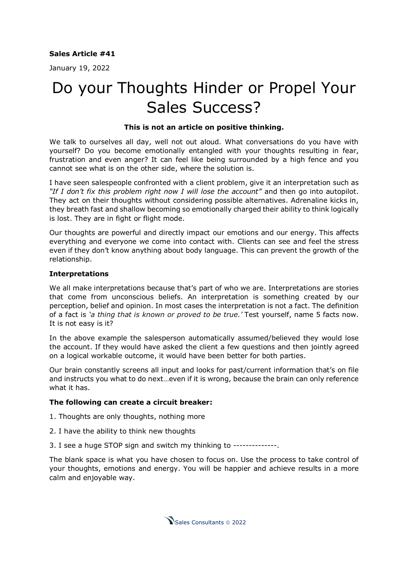## **Sales Article #41**

January 19, 2022

# Do your Thoughts Hinder or Propel Your Sales Success?

#### **This is not an article on positive thinking.**

We talk to ourselves all day, well not out aloud. What conversations do you have with yourself? Do you become emotionally entangled with your thoughts resulting in fear, frustration and even anger? It can feel like being surrounded by a high fence and you cannot see what is on the other side, where the solution is.

I have seen salespeople confronted with a client problem, give it an interpretation such as *"If I don't fix this problem right now I will lose the account"* and then go into autopilot. They act on their thoughts without considering possible alternatives. Adrenaline kicks in, they breath fast and shallow becoming so emotionally charged their ability to think logically is lost. They are in fight or flight mode.

Our thoughts are powerful and directly impact our emotions and our energy. This affects everything and everyone we come into contact with. Clients can see and feel the stress even if they don't know anything about body language. This can prevent the growth of the relationship.

#### **Interpretations**

We all make interpretations because that's part of who we are. Interpretations are stories that come from unconscious beliefs. An interpretation is something created by our perception, belief and opinion. In most cases the interpretation is not a fact. The definition of a fact is *'a thing that is known or proved to be true.'* Test yourself, name 5 facts now. It is not easy is it?

In the above example the salesperson automatically assumed/believed they would lose the account. If they would have asked the client a few questions and then jointly agreed on a logical workable outcome, it would have been better for both parties.

Our brain constantly screens all input and looks for past/current information that's on file and instructs you what to do next…even if it is wrong, because the brain can only reference what it has.

### **The following can create a circuit breaker:**

1. Thoughts are only thoughts, nothing more

- 2. I have the ability to think new thoughts
- 3. I see a huge STOP sign and switch my thinking to --------------.

The blank space is what you have chosen to focus on. Use the process to take control of your thoughts, emotions and energy. You will be happier and achieve results in a more calm and enjoyable way.